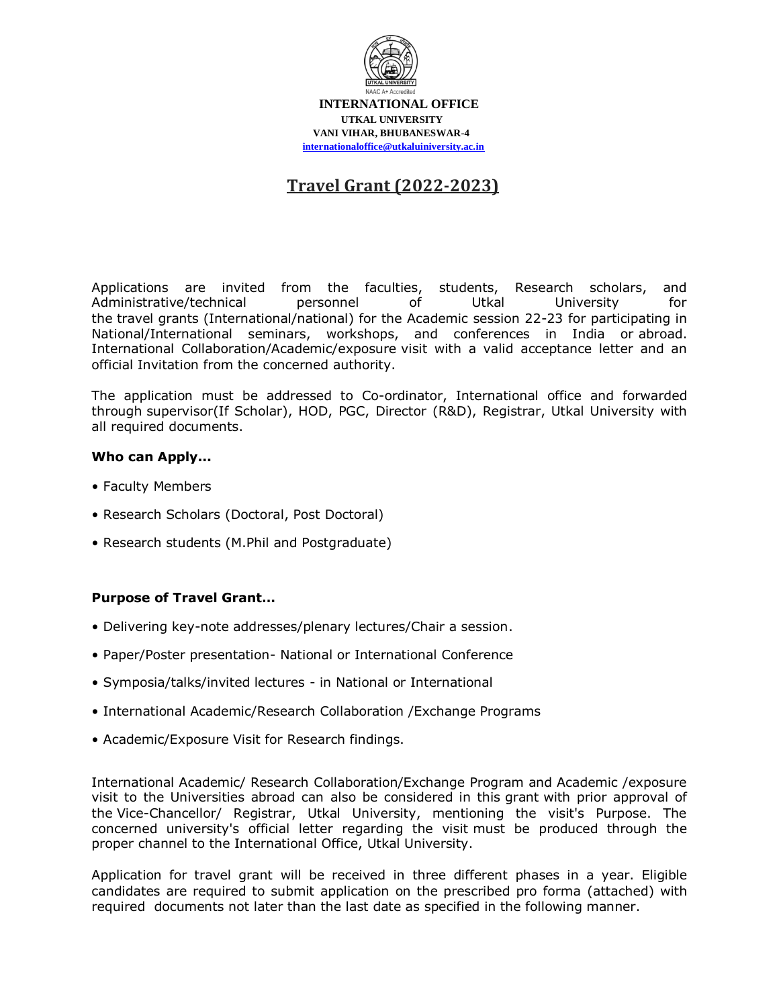

 **INTERNATIONAL OFFICE UTKAL UNIVERSITY VANI VIHAR, BHUBANESWAR-4 [internationaloffice@utkaluiniversity.ac.in](mailto:internationaloffice@utkaluiniversity.ac.in)**

## **Travel Grant (2022-2023)**

Applications are invited from the faculties, students, Research scholars, and Administrative/technical personnel of Utkal University for the travel grants (International/national) for the Academic session 22-23 for participating in National/International seminars, workshops, and conferences in India or abroad. International Collaboration/Academic/exposure visit with a valid acceptance letter and an official Invitation from the concerned authority.

The application must be addressed to Co-ordinator, International office and forwarded through supervisor(If Scholar), HOD, PGC, Director (R&D), Registrar, Utkal University with all required documents.

## **Who can Apply...**

- Faculty Members
- Research Scholars (Doctoral, Post Doctoral)
- Research students (M.Phil and Postgraduate)

## **Purpose of Travel Grant…**

- Delivering key-note addresses/plenary lectures/Chair a session.
- Paper/Poster presentation- National or International Conference
- Symposia/talks/invited lectures in National or International
- International Academic/Research Collaboration /Exchange Programs
- Academic/Exposure Visit for Research findings.

International Academic/ Research Collaboration/Exchange Program and Academic /exposure visit to the Universities abroad can also be considered in this grant with prior approval of the Vice-Chancellor/ Registrar, Utkal University, mentioning the visit's Purpose. The concerned university's official letter regarding the visit must be produced through the proper channel to the International Office, Utkal University.

Application for travel grant will be received in three different phases in a year. Eligible candidates are required to submit application on the prescribed pro forma (attached) with required documents not later than the last date as specified in the following manner.